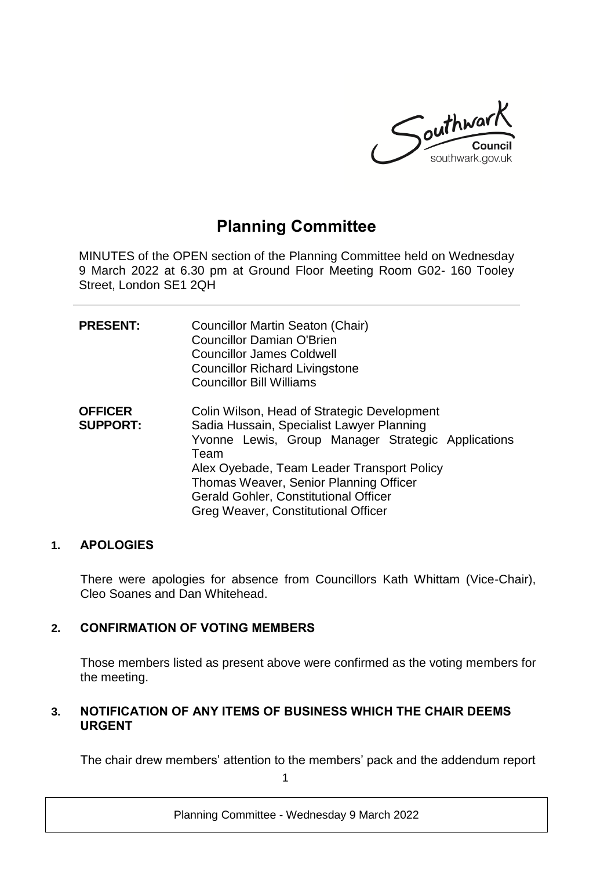

# **Planning Committee**

MINUTES of the OPEN section of the Planning Committee held on Wednesday 9 March 2022 at 6.30 pm at Ground Floor Meeting Room G02- 160 Tooley Street, London SE1 2QH

| <b>PRESENT:</b>                   | Councillor Martin Seaton (Chair)<br><b>Councillor Damian O'Brien</b><br><b>Councillor James Coldwell</b><br><b>Councillor Richard Livingstone</b><br><b>Councillor Bill Williams</b>                                                                                                                                                  |
|-----------------------------------|---------------------------------------------------------------------------------------------------------------------------------------------------------------------------------------------------------------------------------------------------------------------------------------------------------------------------------------|
| <b>OFFICER</b><br><b>SUPPORT:</b> | Colin Wilson, Head of Strategic Development<br>Sadia Hussain, Specialist Lawyer Planning<br>Yvonne Lewis, Group Manager Strategic Applications<br>Team<br>Alex Oyebade, Team Leader Transport Policy<br>Thomas Weaver, Senior Planning Officer<br><b>Gerald Gohler, Constitutional Officer</b><br>Greg Weaver, Constitutional Officer |

#### **1. APOLOGIES**

There were apologies for absence from Councillors Kath Whittam (Vice-Chair), Cleo Soanes and Dan Whitehead.

## **2. CONFIRMATION OF VOTING MEMBERS**

Those members listed as present above were confirmed as the voting members for the meeting.

#### **3. NOTIFICATION OF ANY ITEMS OF BUSINESS WHICH THE CHAIR DEEMS URGENT**

The chair drew members' attention to the members' pack and the addendum report

1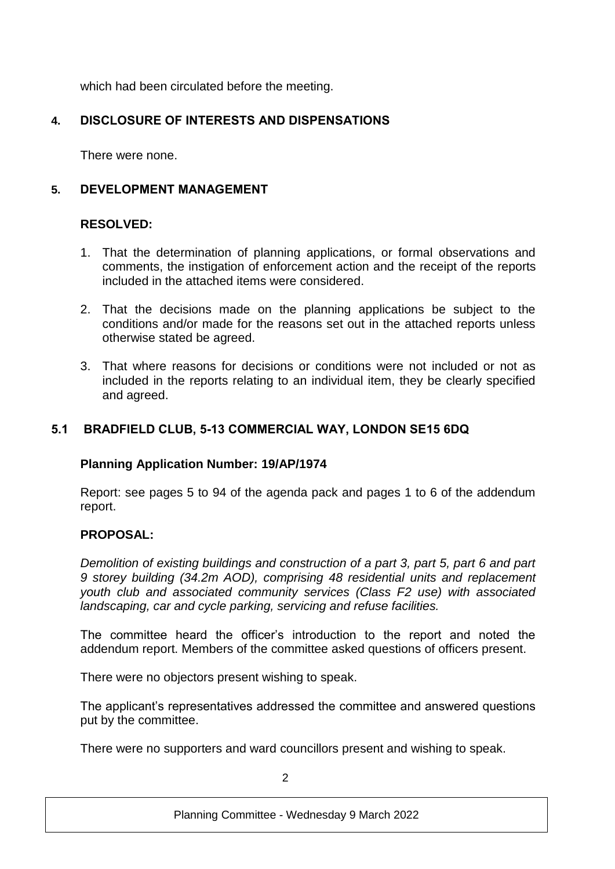which had been circulated before the meeting.

# **4. DISCLOSURE OF INTERESTS AND DISPENSATIONS**

There were none.

# **5. DEVELOPMENT MANAGEMENT**

## **RESOLVED:**

- 1. That the determination of planning applications, or formal observations and comments, the instigation of enforcement action and the receipt of the reports included in the attached items were considered.
- 2. That the decisions made on the planning applications be subject to the conditions and/or made for the reasons set out in the attached reports unless otherwise stated be agreed.
- 3. That where reasons for decisions or conditions were not included or not as included in the reports relating to an individual item, they be clearly specified and agreed.

#### **5.1 BRADFIELD CLUB, 5-13 COMMERCIAL WAY, LONDON SE15 6DQ**

#### **Planning Application Number: 19/AP/1974**

Report: see pages 5 to 94 of the agenda pack and pages 1 to 6 of the addendum report.

#### **PROPOSAL:**

*Demolition of existing buildings and construction of a part 3, part 5, part 6 and part 9 storey building (34.2m AOD), comprising 48 residential units and replacement youth club and associated community services (Class F2 use) with associated landscaping, car and cycle parking, servicing and refuse facilities.*

The committee heard the officer's introduction to the report and noted the addendum report. Members of the committee asked questions of officers present.

There were no objectors present wishing to speak.

The applicant's representatives addressed the committee and answered questions put by the committee.

There were no supporters and ward councillors present and wishing to speak.